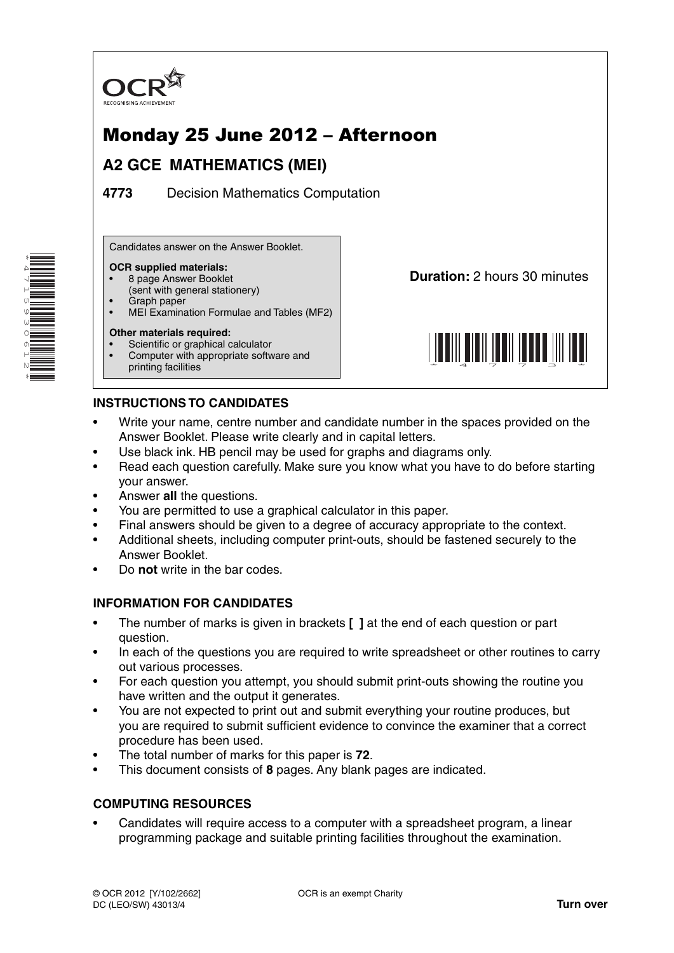

# Monday 25 June 2012 – Afternoon

## **A2 GCE MATHEMATICS (MEI)**

**4773** Decision Mathematics Computation

Candidates answer on the Answer Booklet.

#### **OCR supplied materials:**

- 8 page Answer Booklet
- (sent with general stationery)
- Graph paper
- MEI Examination Formulae and Tables (MF2)

#### **Other materials required:**

- Scientific or graphical calculator
- Computer with appropriate software and printing facilities

**Duration:** 2 hours 30 minutes



### **INSTRUCTIONS TO CANDIDATES**

- Write your name, centre number and candidate number in the spaces provided on the Answer Booklet. Please write clearly and in capital letters.
- Use black ink. HB pencil may be used for graphs and diagrams only.
- Read each question carefully. Make sure you know what you have to do before starting your answer.
- Answer **all** the questions.
- You are permitted to use a graphical calculator in this paper.
- Final answers should be given to a degree of accuracy appropriate to the context.
- Additional sheets, including computer print-outs, should be fastened securely to the Answer Booklet.
- Do **not** write in the bar codes.

### **INFORMATION FOR CANDIDATES**

- The number of marks is given in brackets **[ ]** at the end of each question or part question.
- In each of the questions you are required to write spreadsheet or other routines to carry out various processes.
- For each question you attempt, you should submit print-outs showing the routine you have written and the output it generates.
- You are not expected to print out and submit everything your routine produces, but you are required to submit sufficient evidence to convince the examiner that a correct procedure has been used.
- The total number of marks for this paper is **72**.
- This document consists of **8** pages. Any blank pages are indicated.

### **COMPUTING RESOURCES**

• Candidates will require access to a computer with a spreadsheet program, a linear programming package and suitable printing facilities throughout the examination.

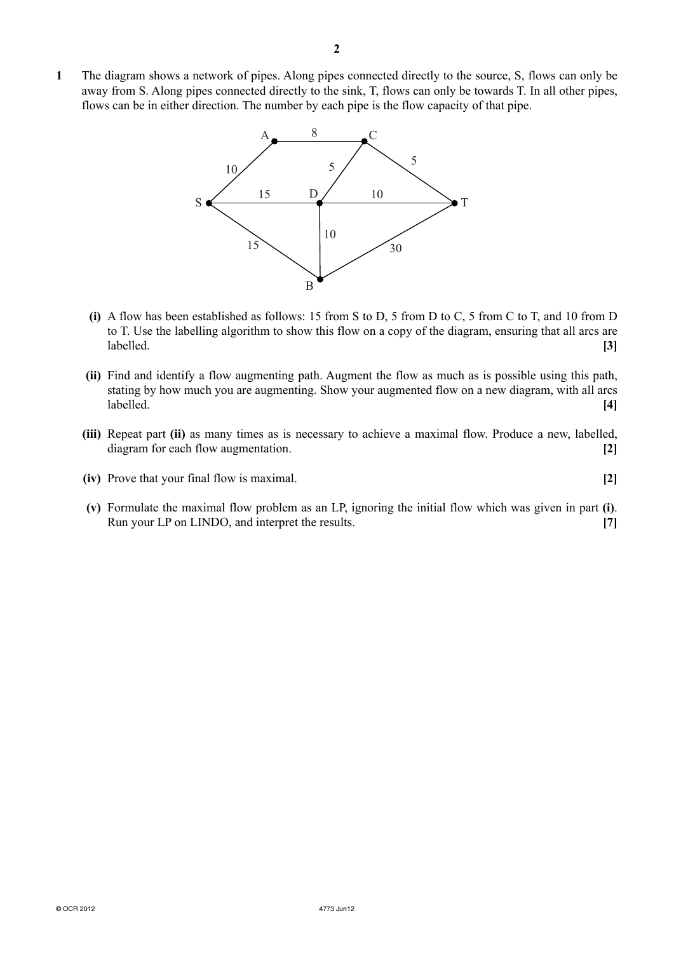

- **(i)** A flow has been established as follows: 15 from S to D, 5 from D to C, 5 from C to T, and 10 from D to T. Use the labelling algorithm to show this flow on a copy of the diagram, ensuring that all arcs are labelled. **[3]**
- **(ii)** Find and identify a flow augmenting path. Augment the flow as much as is possible using this path, stating by how much you are augmenting. Show your augmented flow on a new diagram, with all arcs labelled. **[4]**
- **(iii)** Repeat part **(ii)** as many times as is necessary to achieve a maximal flow. Produce a new, labelled, diagram for each flow augmentation. **[2]**
- **(iv)** Prove that your final flow is maximal. **[2]**
- **(v)** Formulate the maximal flow problem as an LP, ignoring the initial flow which was given in part **(i)**. Run your LP on LINDO, and interpret the results. **[7]**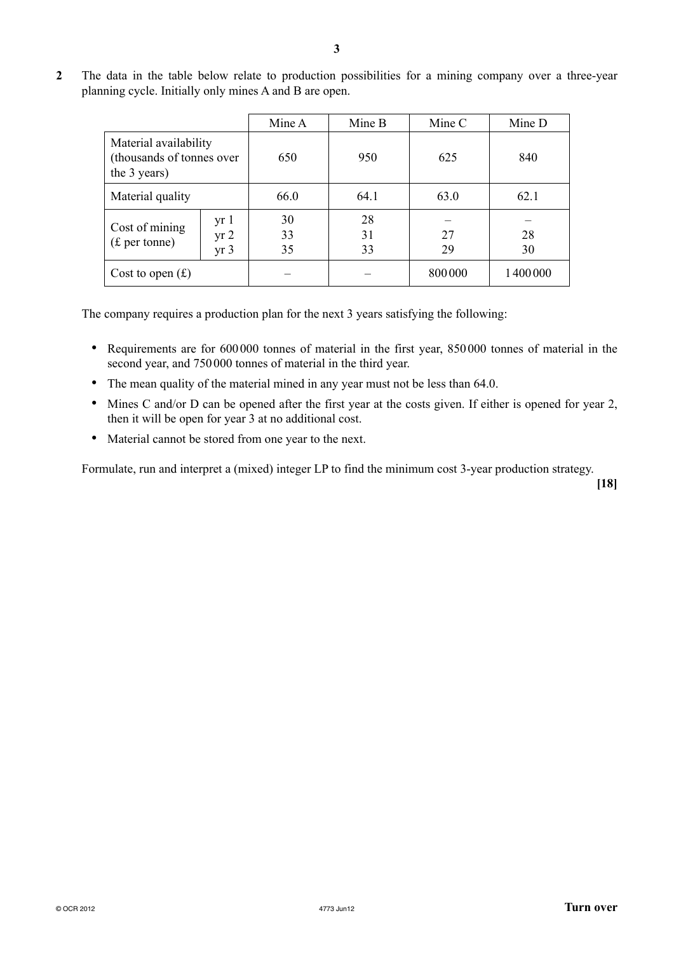**2** The data in the table below relate to production possibilities for a mining company over a three-year planning cycle. Initially only mines A and B are open.

|                                                                    |                                 | Mine A | Mine B         | Mine C   | Mine D   |  |
|--------------------------------------------------------------------|---------------------------------|--------|----------------|----------|----------|--|
| Material availability<br>(thousands of tonnes over<br>the 3 years) |                                 | 650    | 950            | 625      | 840      |  |
| Material quality                                                   |                                 | 66.0   | 64.1           | 63.0     | 62.1     |  |
| Cost of mining<br>$(f)$ per tonne)                                 | yr 1<br>yr 2<br>yr <sub>3</sub> |        | 28<br>31<br>33 | 27<br>29 | 28<br>30 |  |
| Cost to open $(f)$                                                 |                                 |        | 800000         |          | 1400000  |  |

The company requires a production plan for the next 3 years satisfying the following:

- Requirements are for 600 000 tonnes of material in the first year, 850 000 tonnes of material in the second year, and 750 000 tonnes of material in the third year.
- The mean quality of the material mined in any year must not be less than 64.0.
- Mines C and/or D can be opened after the first year at the costs given. If either is opened for year 2, then it will be open for year 3 at no additional cost.
- Material cannot be stored from one year to the next.

Formulate, run and interpret a (mixed) integer LP to find the minimum cost 3-year production strategy.

**[18]**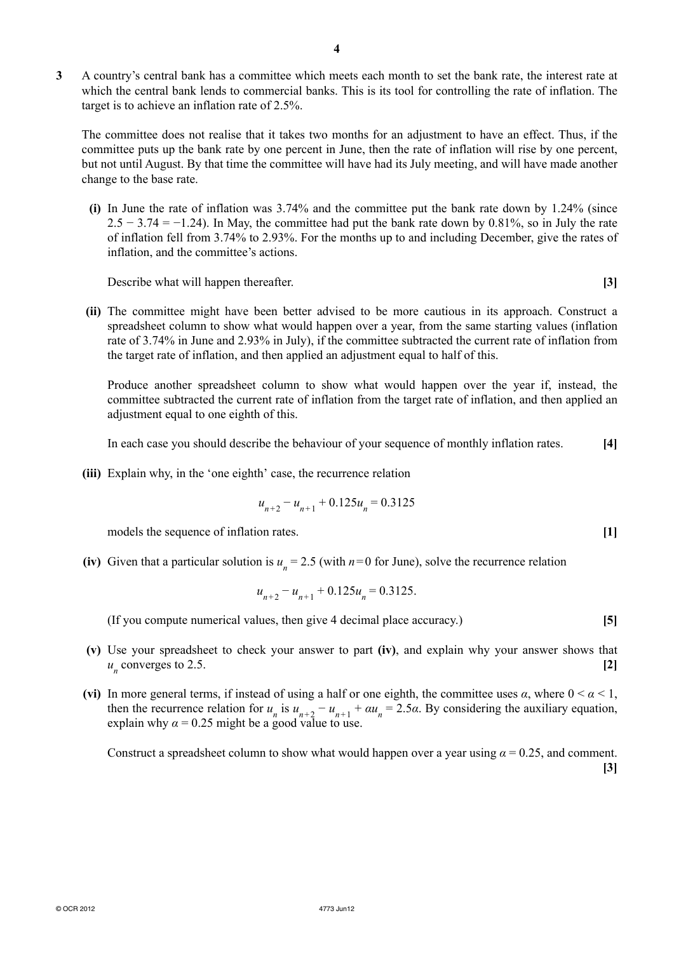**3** A country's central bank has a committee which meets each month to set the bank rate, the interest rate at which the central bank lends to commercial banks. This is its tool for controlling the rate of inflation. The target is to achieve an inflation rate of 2.5%.

The committee does not realise that it takes two months for an adjustment to have an effect. Thus, if the committee puts up the bank rate by one percent in June, then the rate of inflation will rise by one percent, but not until August. By that time the committee will have had its July meeting, and will have made another change to the base rate.

 **(i)** In June the rate of inflation was 3.74% and the committee put the bank rate down by 1.24% (since  $2.5 - 3.74 = -1.24$ ). In May, the committee had put the bank rate down by 0.81%, so in July the rate of inflation fell from 3.74% to 2.93%. For the months up to and including December, give the rates of inflation, and the committee's actions.

**Describe what will happen thereafter. [3] [3]** 

 **(ii)** The committee might have been better advised to be more cautious in its approach. Construct a spreadsheet column to show what would happen over a year, from the same starting values (inflation rate of 3.74% in June and 2.93% in July), if the committee subtracted the current rate of inflation from the target rate of inflation, and then applied an adjustment equal to half of this.

Produce another spreadsheet column to show what would happen over the year if, instead, the committee subtracted the current rate of inflation from the target rate of inflation, and then applied an adjustment equal to one eighth of this.

In each case you should describe the behaviour of your sequence of monthly inflation rates. **[4]**

 **(iii)** Explain why, in the ʻone eighth' case, the recurrence relation

$$
u_{n+2} - u_{n+1} + 0.125u_n = 0.3125
$$

models the sequence of inflation rates. **[1]** 

(iv) Given that a particular solution is  $u_n = 2.5$  (with  $n=0$  for June), solve the recurrence relation

$$
u_{n+2} - u_{n+1} + 0.125u_n = 0.3125.
$$

(If you compute numerical values, then give 4 decimal place accuracy.) **[5]**

- **(v)** Use your spreadsheet to check your answer to part **(iv)**, and explain why your answer shows that  $u_n$  converges to 2.5. **[2]**
- **(vi)** In more general terms, if instead of using a half or one eighth, the committee uses  $\alpha$ , where  $0 \le \alpha \le 1$ , then the recurrence relation for  $u_n$  is  $u_{n+2} - u_{n+1} + \alpha u_n = 2.5\alpha$ . By considering the auxiliary equation, explain why  $\alpha = 0.25$  might be a good value to use.

Construct a spreadsheet column to show what would happen over a year using  $\alpha = 0.25$ , and comment. **[3]**

**4**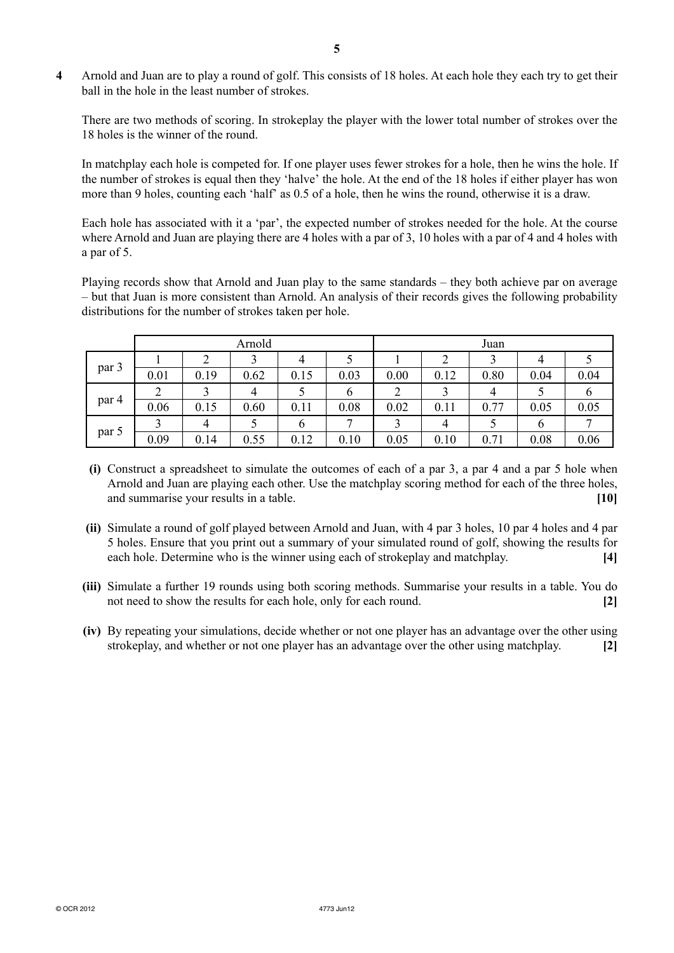**4** Arnold and Juan are to play a round of golf. This consists of 18 holes. At each hole they each try to get their ball in the hole in the least number of strokes.

There are two methods of scoring. In strokeplay the player with the lower total number of strokes over the 18 holes is the winner of the round.

In matchplay each hole is competed for. If one player uses fewer strokes for a hole, then he wins the hole. If the number of strokes is equal then they ʻhalve' the hole. At the end of the 18 holes if either player has won more than 9 holes, counting each ʻhalf' as 0.5 of a hole, then he wins the round, otherwise it is a draw.

Each hole has associated with it a ʻpar', the expected number of strokes needed for the hole. At the course where Arnold and Juan are playing there are 4 holes with a par of 3, 10 holes with a par of 4 and 4 holes with a par of 5.

Playing records show that Arnold and Juan play to the same standards – they both achieve par on average – but that Juan is more consistent than Arnold. An analysis of their records gives the following probability distributions for the number of strokes taken per hole.

|       | Arnold |      |      |      |      | Juan |                |      |      |      |
|-------|--------|------|------|------|------|------|----------------|------|------|------|
| par 3 |        |      |      | 4    |      |      |                |      | 4    |      |
|       | 0.01   | 0.19 | 0.62 | 0.15 | 0.03 | 0.00 | 0.12           | 0.80 | 0.04 | 0.04 |
| par 4 |        |      | 4    |      | 6    | 2    |                | 4    |      | O    |
|       | 0.06   | 0.15 | 0.60 | 0.11 | 0.08 | 0.02 | 0.11           | 0.77 | 0.05 | 0.05 |
| par 5 |        | 4    |      | O    |      | ◠    | $\overline{4}$ |      | O    |      |
|       | 0.09   | 0.14 | 0.55 | 0.12 | 0.10 | 0.05 | 0.10           | 0.71 | 0.08 | 0.06 |

- **(i)** Construct a spreadsheet to simulate the outcomes of each of a par 3, a par 4 and a par 5 hole when Arnold and Juan are playing each other. Use the matchplay scoring method for each of the three holes, and summarise your results in a table. **[10]**
- **(ii)** Simulate a round of golf played between Arnold and Juan, with 4 par 3 holes, 10 par 4 holes and 4 par 5 holes. Ensure that you print out a summary of your simulated round of golf, showing the results for each hole. Determine who is the winner using each of strokeplay and matchplay. **[4]**
- **(iii)** Simulate a further 19 rounds using both scoring methods. Summarise your results in a table. You do not need to show the results for each hole, only for each round. **[2]**
- **(iv)** By repeating your simulations, decide whether or not one player has an advantage over the other using strokeplay, and whether or not one player has an advantage over the other using matchplay. **[2]**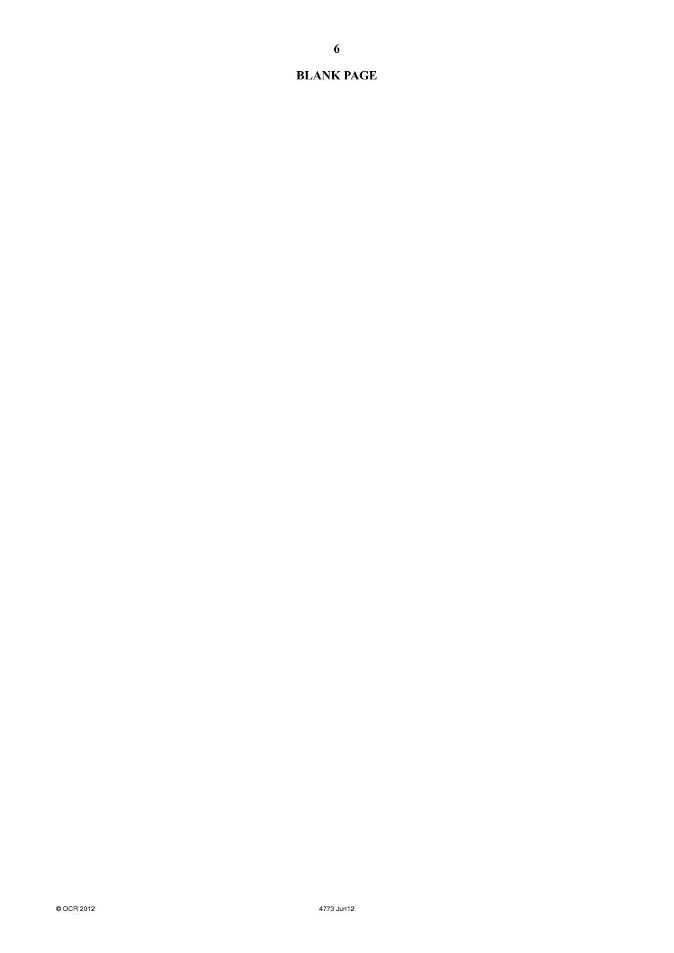#### **BLANK PAGE**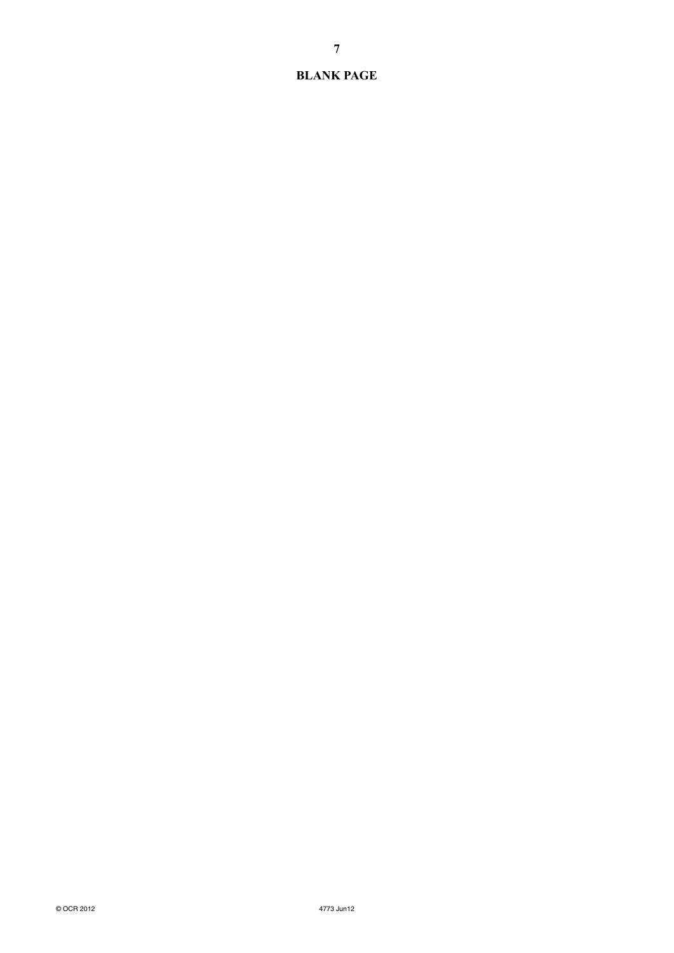#### **BLANK PAGE**